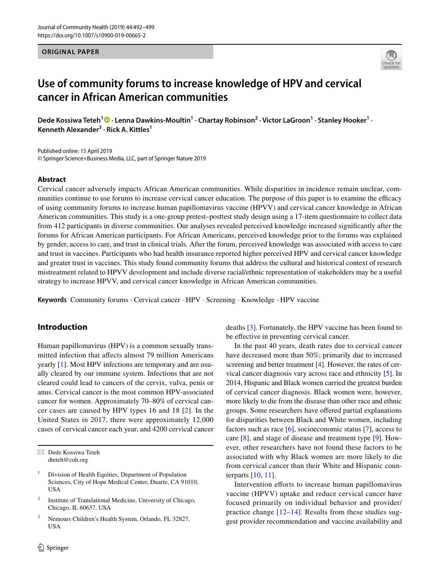#### **ORIGINAL PAPER**



# **Use of community forums to increase knowledge of HPV and cervical cancer in African American communities**

DedeKossiwa Teteh<sup>1</sup><sup>®</sup> · Lenna Dawkins-Moultin<sup>1</sup> · Chartay Robinson<sup>2</sup> · Victor LaGroon<sup>1</sup> · Stanley Hooker<sup>1</sup> · **Kenneth Alexander3 · Rick A. Kittles<sup>1</sup>**

Published online: 15 April 2019 © Springer Science+Business Media, LLC, part of Springer Nature 2019

#### **Abstract**

Cervical cancer adversely impacts African American communities. While disparities in incidence remain unclear, communities continue to use forums to increase cervical cancer education. The purpose of this paper is to examine the efficacy of using community forums to increase human papillomavirus vaccine (HPVV) and cervical cancer knowledge in African American communities. This study is a one-group pretest–posttest study design using a 17-item questionnaire to collect data from 412 participants in diverse communities. Our analyses revealed perceived knowledge increased signifcantly after the forums for African American participants. For African Americans, perceived knowledge prior to the forums was explained by gender, access to care, and trust in clinical trials. After the forum, perceived knowledge was associated with access to care and trust in vaccines. Participants who had health insurance reported higher perceived HPV and cervical cancer knowledge and greater trust in vaccines. This study found community forums that address the cultural and historical context of research mistreatment related to HPVV development and include diverse racial/ethnic representation of stakeholders may be a useful strategy to increase HPVV, and cervical cancer knowledge in African American communities.

**Keywords** Community forums · Cervical cancer · HPV · Screening · Knowledge · HPV vaccine

# **Introduction**

Human papillomavirus (HPV) is a common sexually transmitted infection that afects almost 79 million Americans yearly [\[1](#page-6-0)]. Most HPV infections are temporary and are usually cleared by our immune system. Infections that are not cleared could lead to cancers of the cervix, vulva, penis or anus. Cervical cancer is the most common HPV-associated cancer for women. Approximately 70–80% of cervical cancer cases are caused by HPV types 16 and 18 [[2](#page-6-1)]. In the United States in 2017, there were approximately 12,000 cases of cervical cancer each year, and 4200 cervical cancer deaths [[3\]](#page-6-2). Fortunately, the HPV vaccine has been found to be effective in preventing cervical cancer.

In the past 40 years, death rates due to cervical cancer have decreased more than 50%; primarily due to increased screening and better treatment [\[4](#page-6-3)]. However, the rates of cervical cancer diagnosis vary across race and ethnicity [[5\]](#page-6-4). In 2014, Hispanic and Black women carried the greatest burden of cervical cancer diagnosis. Black women were, however, more likely to die from the disease than other race and ethnic groups. Some researchers have ofered partial explanations for disparities between Black and White women, including factors such as race  $[6]$  $[6]$ , socioeconomic status  $[7]$  $[7]$ , access to care [\[8](#page-6-7)], and stage of disease and treatment type [\[9](#page-6-8)]. However, other researchers have not found these factors to be associated with why Black women are more likely to die from cervical cancer than their White and Hispanic counterparts [[10,](#page-6-9) [11](#page-6-10)].

Intervention efforts to increase human papillomavirus vaccine (HPVV) uptake and reduce cervical cancer have focused primarily on individual behavior and provider/ practice change [[12](#page-6-11)[–14\]](#page-6-12). Results from these studies suggest provider recommendation and vaccine availability and

 $\boxtimes$  Dede Kossiwa Teteh dteteh@coh.org

Division of Health Equities, Department of Population Sciences, City of Hope Medical Center, Duarte, CA 91010, USA

<sup>2</sup> Institute of Translational Medicine, University of Chicago, Chicago, IL 60637, USA

<sup>3</sup> Nemours Children's Health System, Orlando, FL 32827, USA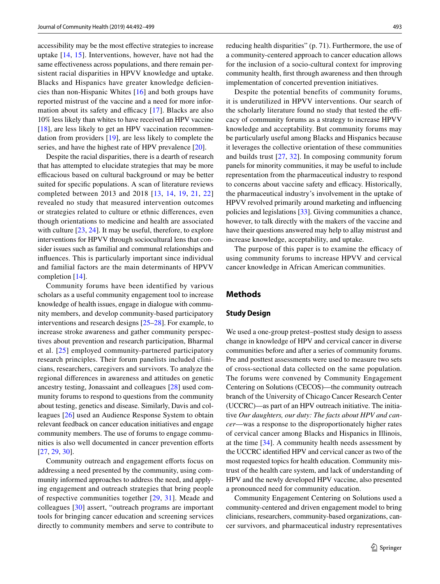accessibility may be the most efective strategies to increase uptake [[14](#page-6-12), [15](#page-6-13)]. Interventions, however, have not had the same effectiveness across populations, and there remain persistent racial disparities in HPVV knowledge and uptake. Blacks and Hispanics have greater knowledge deficiencies than non-Hispanic Whites [\[16](#page-6-14)] and both groups have reported mistrust of the vaccine and a need for more information about its safety and efficacy  $[17]$  $[17]$  $[17]$ . Blacks are also 10% less likely than whites to have received an HPV vaccine [\[18\]](#page-6-16), are less likely to get an HPV vaccination recommendation from providers [[19](#page-6-17)], are less likely to complete the series, and have the highest rate of HPV prevalence [[20](#page-6-18)].

Despite the racial disparities, there is a dearth of research that has attempted to elucidate strategies that may be more efficacious based on cultural background or may be better suited for specifc populations. A scan of literature reviews completed between 2013 and 2018 [[13,](#page-6-19) [14](#page-6-12), [19](#page-6-17), [21,](#page-7-0) [22\]](#page-7-1) revealed no study that measured intervention outcomes or strategies related to culture or ethnic diferences, even though orientations to medicine and health are associated with culture [\[23](#page-7-2), [24](#page-7-3)]. It may be useful, therefore, to explore interventions for HPVV through sociocultural lens that consider issues such as familial and communal relationships and infuences. This is particularly important since individual and familial factors are the main determinants of HPVV completion [\[14](#page-6-12)].

Community forums have been identified by various scholars as a useful community engagement tool to increase knowledge of health issues, engage in dialogue with community members, and develop community-based participatory interventions and research designs [[25–](#page-7-4)[28\]](#page-7-5). For example, to increase stroke awareness and gather community perspectives about prevention and research participation, Bharmal et al. [\[25\]](#page-7-4) employed community-partnered participatory research principles. Their forum panelists included clinicians, researchers, caregivers and survivors. To analyze the regional diferences in awareness and attitudes on genetic ancestry testing, Jonassaint and colleagues [[28\]](#page-7-5) used community forums to respond to questions from the community about testing, genetics and disease. Similarly, Davis and colleagues [[26\]](#page-7-6) used an Audience Response System to obtain relevant feedback on cancer education initiatives and engage community members. The use of forums to engage communities is also well documented in cancer prevention efforts [\[27,](#page-7-7) [29,](#page-7-8) [30\]](#page-7-9).

Community outreach and engagement efforts focus on addressing a need presented by the community, using community informed approaches to address the need, and applying engagement and outreach strategies that bring people of respective communities together [[29,](#page-7-8) [31](#page-7-10)]. Meade and colleagues [\[30\]](#page-7-9) assert, "outreach programs are important tools for bringing cancer education and screening services directly to community members and serve to contribute to reducing health disparities" (p. 71). Furthermore, the use of a community-centered approach to cancer education allows for the inclusion of a socio-cultural context for improving community health, frst through awareness and then through implementation of concerted prevention initiatives.

Despite the potential benefits of community forums, it is underutilized in HPVV interventions. Our search of the scholarly literature found no study that tested the efficacy of community forums as a strategy to increase HPVV knowledge and acceptability. But community forums may be particularly useful among Blacks and Hispanics because it leverages the collective orientation of these communities and builds trust [\[27,](#page-7-7) [32](#page-7-11)]. In composing community forum panels for minority communities, it may be useful to include representation from the pharmaceutical industry to respond to concerns about vaccine safety and efficacy. Historically, the pharmaceutical industry's involvement in the uptake of HPVV revolved primarily around marketing and infuencing policies and legislations [\[33](#page-7-12)]. Giving communities a chance, however, to talk directly with the makers of the vaccine and have their questions answered may help to allay mistrust and increase knowledge, acceptability, and uptake.

The purpose of this paper is to examine the efficacy of using community forums to increase HPVV and cervical cancer knowledge in African American communities.

# **Methods**

#### **Study Design**

We used a one-group pretest–posttest study design to assess change in knowledge of HPV and cervical cancer in diverse communities before and after a series of community forums. Pre and posttest assessments were used to measure two sets of cross-sectional data collected on the same population. The forums were convened by Community Engagement Centering on Solutions (CECOS)—the community outreach branch of the University of Chicago Cancer Research Center (UCCRC)—as part of an HPV outreach initiative. The initiative *Our daughters, our duty: The facts about HPV and cancer*—was a response to the disproportionately higher rates of cervical cancer among Blacks and Hispanics in Illinois, at the time [[34\]](#page-7-13). A community health needs assessment by the UCCRC identifed HPV and cervical cancer as two of the most requested topics for health education. Community mistrust of the health care system, and lack of understanding of HPV and the newly developed HPV vaccine, also presented a pronounced need for community education.

Community Engagement Centering on Solutions used a community-centered and driven engagement model to bring clinicians, researchers, community-based organizations, cancer survivors, and pharmaceutical industry representatives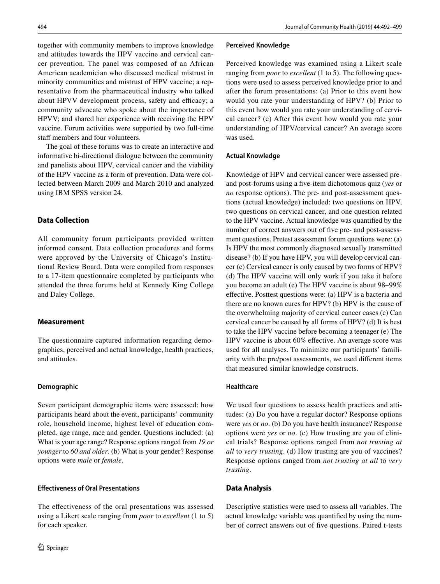together with community members to improve knowledge and attitudes towards the HPV vaccine and cervical cancer prevention. The panel was composed of an African American academician who discussed medical mistrust in minority communities and mistrust of HPV vaccine; a representative from the pharmaceutical industry who talked about HPVV development process, safety and efficacy; a community advocate who spoke about the importance of HPVV; and shared her experience with receiving the HPV vaccine. Forum activities were supported by two full-time staff members and four volunteers.

The goal of these forums was to create an interactive and informative bi-directional dialogue between the community and panelists about HPV, cervical cancer and the viability of the HPV vaccine as a form of prevention. Data were collected between March 2009 and March 2010 and analyzed using IBM SPSS version 24.

# **Data Collection**

All community forum participants provided written informed consent. Data collection procedures and forms were approved by the University of Chicago's Institutional Review Board. Data were compiled from responses to a 17-item questionnaire completed by participants who attended the three forums held at Kennedy King College and Daley College.

## **Measurement**

The questionnaire captured information regarding demographics, perceived and actual knowledge, health practices, and attitudes.

## **Demographic**

Seven participant demographic items were assessed: how participants heard about the event, participants' community role, household income, highest level of education completed, age range, race and gender. Questions included: (a) What is your age range? Response options ranged from *19 or younger* to *60 and older*. (b) What is your gender? Response options were *male* or *female*.

## **Efectiveness of Oral Presentations**

The effectiveness of the oral presentations was assessed using a Likert scale ranging from *poor* to *excellent* (1 to 5) for each speaker.

#### **Perceived Knowledge**

Perceived knowledge was examined using a Likert scale ranging from *poor* to *excellent* (1 to 5). The following questions were used to assess perceived knowledge prior to and after the forum presentations: (a) Prior to this event how would you rate your understanding of HPV? (b) Prior to this event how would you rate your understanding of cervical cancer? (c) After this event how would you rate your understanding of HPV/cervical cancer? An average score was used.

## **Actual Knowledge**

Knowledge of HPV and cervical cancer were assessed preand post-forums using a fve-item dichotomous quiz (*yes* or *no* response options). The pre- and post-assessment questions (actual knowledge) included: two questions on HPV, two questions on cervical cancer, and one question related to the HPV vaccine. Actual knowledge was quantifed by the number of correct answers out of fve pre- and post-assessment questions. Pretest assessment forum questions were: (a) Is HPV the most commonly diagnosed sexually transmitted disease? (b) If you have HPV, you will develop cervical cancer (c) Cervical cancer is only caused by two forms of HPV? (d) The HPV vaccine will only work if you take it before you become an adult (e) The HPV vaccine is about 98–99% efective. Posttest questions were: (a) HPV is a bacteria and there are no known cures for HPV? (b) HPV is the cause of the overwhelming majority of cervical cancer cases (c) Can cervical cancer be caused by all forms of HPV? (d) It is best to take the HPV vaccine before becoming a teenager (e) The HPV vaccine is about 60% efective. An average score was used for all analyses. To minimize our participants' familiarity with the pre/post assessments, we used diferent items that measured similar knowledge constructs.

## **Healthcare**

We used four questions to assess health practices and attitudes: (a) Do you have a regular doctor? Response options were *yes* or *no*. (b) Do you have health insurance? Response options were *yes* or *no*. (c) How trusting are you of clinical trials? Response options ranged from *not trusting at all* to *very trusting*. (d) How trusting are you of vaccines? Response options ranged from *not trusting at all* to *very trusting*.

## **Data Analysis**

Descriptive statistics were used to assess all variables. The actual knowledge variable was quantifed by using the number of correct answers out of fve questions. Paired t-tests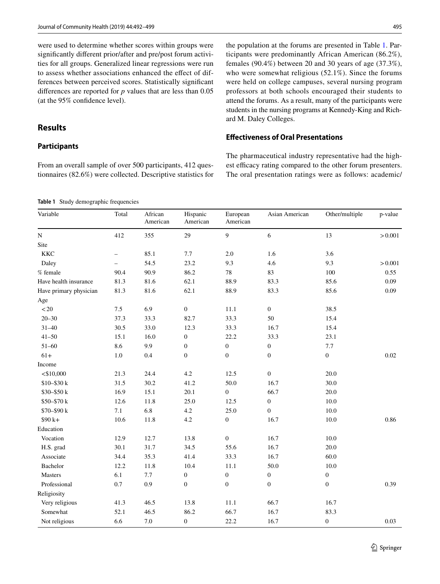were used to determine whether scores within groups were signifcantly diferent prior/after and pre/post forum activities for all groups. Generalized linear regressions were run to assess whether associations enhanced the efect of differences between perceived scores. Statistically signifcant diferences are reported for *p* values that are less than 0.05 (at the 95% confdence level).

# **Results**

#### **Participants**

From an overall sample of over 500 participants, 412 questionnaires (82.6%) were collected. Descriptive statistics for

<span id="page-3-0"></span>**Table 1** Study demographic frequencies

the population at the forums are presented in Table [1](#page-3-0). Participants were predominantly African American (86.2%), females (90.4%) between 20 and 30 years of age (37.3%), who were somewhat religious (52.1%). Since the forums were held on college campuses, several nursing program professors at both schools encouraged their students to attend the forums. As a result, many of the participants were students in the nursing programs at Kennedy-King and Richard M. Daley Colleges.

# **Efectiveness of Oral Presentations**

The pharmaceutical industry representative had the highest efficacy rating compared to the other forum presenters. The oral presentation ratings were as follows: academic/

| Variable               | Total                    | African<br>American | Hispanic<br>American | European<br>American | Asian American   | Other/multiple   | p-value |
|------------------------|--------------------------|---------------------|----------------------|----------------------|------------------|------------------|---------|
| ${\bf N}$              | 412                      | 355                 | 29                   | $\boldsymbol{9}$     | 6                | 13               | > 0.001 |
| Site                   |                          |                     |                      |                      |                  |                  |         |
| <b>KKC</b>             | -                        | 85.1                | 7.7                  | 2.0                  | 1.6              | 3.6              |         |
| Daley                  | $\overline{\phantom{0}}$ | 54.5                | 23.2                 | 9.3                  | 4.6              | 9.3              | > 0.001 |
| % female               | 90.4                     | 90.9                | 86.2                 | 78                   | 83               | 100              | 0.55    |
| Have health insurance  | 81.3                     | 81.6                | 62.1                 | 88.9                 | 83.3             | 85.6             | 0.09    |
| Have primary physician | 81.3                     | 81.6                | 62.1                 | 88.9                 | 83.3             | 85.6             | 0.09    |
| Age                    |                          |                     |                      |                      |                  |                  |         |
| ${<}\,20$              | $7.5\,$                  | 6.9                 | $\boldsymbol{0}$     | 11.1                 | $\boldsymbol{0}$ | 38.5             |         |
| $20 - 30$              | 37.3                     | 33.3                | 82.7                 | 33.3                 | 50               | 15.4             |         |
| $31 - 40$              | 30.5                     | 33.0                | 12.3                 | 33.3                 | 16.7             | 15.4             |         |
| $41 - 50$              | 15.1                     | 16.0                | $\boldsymbol{0}$     | 22.2                 | 33.3             | 23.1             |         |
| $51 - 60$              | 8.6                      | 9.9                 | $\boldsymbol{0}$     | $\boldsymbol{0}$     | $\boldsymbol{0}$ | 7.7              |         |
| $61+$                  | 1.0                      | 0.4                 | $\boldsymbol{0}$     | $\mathbf{0}$         | $\boldsymbol{0}$ | $\boldsymbol{0}$ | 0.02    |
| Income                 |                          |                     |                      |                      |                  |                  |         |
| $<$ \$10,000           | 21.3                     | 24.4                | $4.2\,$              | 12.5                 | $\boldsymbol{0}$ | 20.0             |         |
| \$10-\$30 k            | 31.5                     | 30.2                | 41.2                 | 50.0                 | 16.7             | 30.0             |         |
| \$30-\$50 k            | 16.9                     | 15.1                | 20.1                 | $\boldsymbol{0}$     | 66.7             | 20.0             |         |
| \$50-\$70 k            | 12.6                     | 11.8                | 25.0                 | 12.5                 | $\boldsymbol{0}$ | 10.0             |         |
| \$70-\$90 k            | 7.1                      | 6.8                 | 4.2                  | 25.0                 | $\boldsymbol{0}$ | 10.0             |         |
| $$90 k+$               | 10.6                     | 11.8                | $4.2\,$              | $\boldsymbol{0}$     | 16.7             | 10.0             | 0.86    |
| Education              |                          |                     |                      |                      |                  |                  |         |
| Vocation               | 12.9                     | 12.7                | 13.8                 | $\boldsymbol{0}$     | 16.7             | $10.0\,$         |         |
| H.S. grad              | 30.1                     | 31.7                | 34.5                 | 55.6                 | 16.7             | 20.0             |         |
| Associate              | 34.4                     | 35.3                | 41.4                 | 33.3                 | 16.7             | 60.0             |         |
| Bachelor               | 12.2                     | 11.8                | 10.4                 | 11.1                 | 50.0             | 10.0             |         |
| Masters                | 6.1                      | $7.7\,$             | $\boldsymbol{0}$     | $\boldsymbol{0}$     | $\boldsymbol{0}$ | $\boldsymbol{0}$ |         |
| Professional           | 0.7                      | 0.9                 | $\boldsymbol{0}$     | $\mathbf{0}$         | $\boldsymbol{0}$ | $\boldsymbol{0}$ | 0.39    |
| Religiosity            |                          |                     |                      |                      |                  |                  |         |
| Very religious         | 41.3                     | 46.5                | 13.8                 | 11.1                 | 66.7             | 16.7             |         |
| Somewhat               | 52.1                     | 46.5                | 86.2                 | 66.7                 | 16.7             | 83.3             |         |
| Not religious          | 6.6                      | $7.0\,$             | $\boldsymbol{0}$     | 22.2                 | 16.7             | $\boldsymbol{0}$ | 0.03    |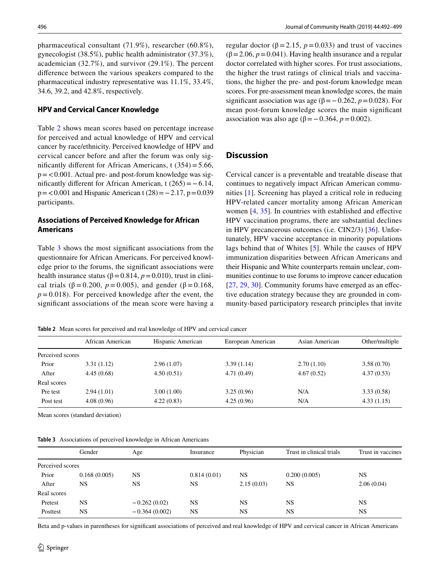pharmaceutical consultant (71.9%), researcher (60.8%), gynecologist (38.5%), public health administrator (37.3%), academician (32.7%), and survivor (29.1%). The percent diference between the various speakers compared to the pharmaceutical industry representative was 11.1%, 33.4%, 34.6, 39.2, and 42.8%, respectively.

#### **HPV and Cervical Cancer Knowledge**

Table [2](#page-4-0) shows mean scores based on percentage increase for perceived and actual knowledge of HPV and cervical cancer by race/ethnicity. Perceived knowledge of HPV and cervical cancer before and after the forum was only significantly different for African Americans, t  $(354)=5.66$ ,  $p = 0.001$ . Actual pre- and post-forum knowledge was significantly different for African American, t  $(265) = -6.14$ , p=<0.001 and Hispanic American t (28)=−2.17, p=0.039 participants.

## **Associations of Perceived Knowledge for African Americans**

Table [3](#page-4-1) shows the most signifcant associations from the questionnaire for African Americans. For perceived knowledge prior to the forums, the signifcant associations were health insurance status ( $\beta$ =0.814, *p*=0.010), trust in clinical trials ( $\beta = 0.200$ ,  $p = 0.005$ ), and gender ( $\beta = 0.168$ ,  $p=0.018$ ). For perceived knowledge after the event, the signifcant associations of the mean score were having a regular doctor ( $β = 2.15$ ,  $p = 0.033$ ) and trust of vaccines ( $\beta$ =2.06,  $p$  = 0.041). Having health insurance and a regular doctor correlated with higher scores. For trust associations, the higher the trust ratings of clinical trials and vaccinations, the higher the pre- and post-forum knowledge mean scores. For pre-assessment mean knowledge scores, the main significant association was age ( $\beta$ = −0.262, *p* = 0.028). For mean post-forum knowledge scores the main signifcant association was also age (β = −0.364, *p* = 0.002).

#### **Discussion**

Cervical cancer is a preventable and treatable disease that continues to negatively impact African American communities [[1](#page-6-0)]. Screening has played a critical role in reducing HPV-related cancer mortality among African American women  $[4, 35]$  $[4, 35]$  $[4, 35]$  $[4, 35]$ . In countries with established and effective HPV vaccination programs, there are substantial declines in HPV precancerous outcomes (i.e. CIN2/3) [[36](#page-7-15)]. Unfortunately, HPV vaccine acceptance in minority populations lags behind that of Whites [[5\]](#page-6-4). While the causes of HPV immunization disparities between African Americans and their Hispanic and White counterparts remain unclear, communities continue to use forums to improve cancer education [[27,](#page-7-7) [29,](#page-7-8) [30\]](#page-7-9). Community forums have emerged as an effective education strategy because they are grounded in community-based participatory research principles that invite

<span id="page-4-0"></span>**Table 2** Mean scores for perceived and real knowledge of HPV and cervical cancer

|                  | African American | Hispanic American | European American | Asian American | Other/multiple |
|------------------|------------------|-------------------|-------------------|----------------|----------------|
| Perceived scores |                  |                   |                   |                |                |
| Prior            | 3.31(1.12)       | 2.96(1.07)        | 3.39(1.14)        | 2.70(1.10)     | 3.58(0.70)     |
| After            | 4.45(0.68)       | 4.50(0.51)        | 4.71(0.49)        | 4.67(0.52)     | 4.37(0.53)     |
| Real scores      |                  |                   |                   |                |                |
| Pre test         | 2.94(1.01)       | 3.00(1.00)        | 3.25(0.96)        | N/A            | 3.33(0.58)     |
| Post test        | 4.08(0.96)       | 4.22(0.83)        | 4.25(0.96)        | N/A            | 4.33(1.15)     |
|                  |                  |                   |                   |                |                |

Mean scores (standard deviation)

<span id="page-4-1"></span>

| Table 3 Associations of perceived knowledge in African Americans |  |
|------------------------------------------------------------------|--|
|------------------------------------------------------------------|--|

|                  | Gender       | Age             | Insurance   | Physician  | Trust in clinical trials | Trust in vaccines |
|------------------|--------------|-----------------|-------------|------------|--------------------------|-------------------|
| Perceived scores |              |                 |             |            |                          |                   |
| Prior            | 0.168(0.005) | NS              | 0.814(0.01) | NS         | 0.200(0.005)             | <b>NS</b>         |
| After            | NS           | NS              | NS          | 2.15(0.03) | NS.                      | 2.06(0.04)        |
| Real scores      |              |                 |             |            |                          |                   |
| Pretest          | NS           | $-0.262(0.02)$  | NS          | <b>NS</b>  | NS.                      | <b>NS</b>         |
| Posttest         | <b>NS</b>    | $-0.364(0.002)$ | NS          | NS         | NS                       | <b>NS</b>         |
|                  |              |                 |             |            |                          |                   |

Beta and p-values in parentheses for signifcant associations of perceived and real knowledge of HPV and cervical cancer in African Americans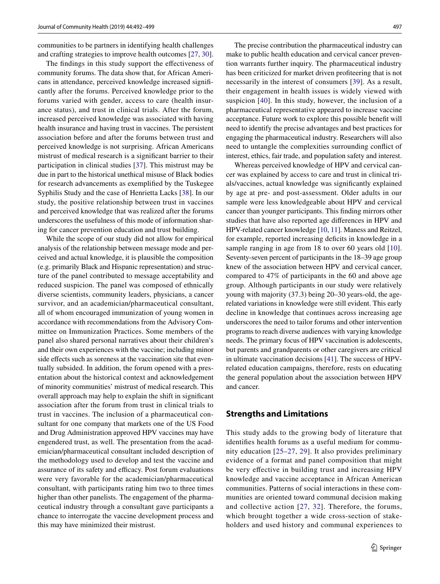communities to be partners in identifying health challenges and crafting strategies to improve health outcomes [\[27](#page-7-7), [30](#page-7-9)].

The findings in this study support the effectiveness of community forums. The data show that, for African Americans in attendance, perceived knowledge increased signifcantly after the forums. Perceived knowledge prior to the forums varied with gender, access to care (health insurance status), and trust in clinical trials. After the forum, increased perceived knowledge was associated with having health insurance and having trust in vaccines. The persistent association before and after the forums between trust and perceived knowledge is not surprising. African Americans mistrust of medical research is a signifcant barrier to their participation in clinical studies [[37](#page-7-16)]. This mistrust may be due in part to the historical unethical misuse of Black bodies for research advancements as exemplifed by the Tuskegee Syphilis Study and the case of Henrietta Lacks [\[38](#page-7-17)]. In our study, the positive relationship between trust in vaccines and perceived knowledge that was realized after the forums underscores the usefulness of this mode of information sharing for cancer prevention education and trust building.

While the scope of our study did not allow for empirical analysis of the relationship between message mode and perceived and actual knowledge, it is plausible the composition (e.g. primarily Black and Hispanic representation) and structure of the panel contributed to message acceptability and reduced suspicion. The panel was composed of ethnically diverse scientists, community leaders, physicians, a cancer survivor, and an academician/pharmaceutical consultant, all of whom encouraged immunization of young women in accordance with recommendations from the Advisory Committee on Immunization Practices. Some members of the panel also shared personal narratives about their children's and their own experiences with the vaccine; including minor side effects such as soreness at the vaccination site that eventually subsided. In addition, the forum opened with a presentation about the historical context and acknowledgement of minority communities' mistrust of medical research. This overall approach may help to explain the shift in signifcant association after the forum from trust in clinical trials to trust in vaccines. The inclusion of a pharmaceutical consultant for one company that markets one of the US Food and Drug Administration approved HPV vaccines may have engendered trust, as well. The presentation from the academician/pharmaceutical consultant included description of the methodology used to develop and test the vaccine and assurance of its safety and efficacy. Post forum evaluations were very favorable for the academician/pharmaceutical consultant, with participants rating him two to three times higher than other panelists. The engagement of the pharmaceutical industry through a consultant gave participants a chance to interrogate the vaccine development process and this may have minimized their mistrust.

The precise contribution the pharmaceutical industry can make to public health education and cervical cancer prevention warrants further inquiry. The pharmaceutical industry has been criticized for market driven profteering that is not necessarily in the interest of consumers [\[39\]](#page-7-18). As a result, their engagement in health issues is widely viewed with suspicion [\[40\]](#page-7-19). In this study, however, the inclusion of a pharmaceutical representative appeared to increase vaccine acceptance. Future work to explore this possible beneft will need to identify the precise advantages and best practices for engaging the pharmaceutical industry. Researchers will also need to untangle the complexities surrounding confict of interest, ethics, fair trade, and population safety and interest.

Whereas perceived knowledge of HPV and cervical cancer was explained by access to care and trust in clinical trials/vaccines, actual knowledge was signifcantly explained by age at pre- and post-assessment. Older adults in our sample were less knowledgeable about HPV and cervical cancer than younger participants. This fnding mirrors other studies that have also reported age diferences in HPV and HPV-related cancer knowledge [\[10](#page-6-9), [11\]](#page-6-10). Maness and Reitzel, for example, reported increasing deficits in knowledge in a sample ranging in age from 18 to over 60 years old [[10](#page-6-9)]. Seventy-seven percent of participants in the 18–39 age group knew of the association between HPV and cervical cancer, compared to 47% of participants in the 60 and above age group. Although participants in our study were relatively young with majority (37.3) being 20–30 years-old, the agerelated variations in knowledge were still evident. This early decline in knowledge that continues across increasing age underscores the need to tailor forums and other intervention programs to reach diverse audiences with varying knowledge needs. The primary focus of HPV vaccination is adolescents, but parents and grandparents or other caregivers are critical in ultimate vaccination decisions [[41\]](#page-7-20). The success of HPVrelated education campaigns, therefore, rests on educating the general population about the association between HPV and cancer.

#### **Strengths and Limitations**

This study adds to the growing body of literature that identifes health forums as a useful medium for community education [[25](#page-7-4)[–27,](#page-7-7) [29](#page-7-8)]. It also provides preliminary evidence of a format and panel composition that might be very efective in building trust and increasing HPV knowledge and vaccine acceptance in African American communities. Patterns of social interactions in these communities are oriented toward communal decision making and collective action [[27,](#page-7-7) [32](#page-7-11)]. Therefore, the forums, which brought together a wide cross-section of stakeholders and used history and communal experiences to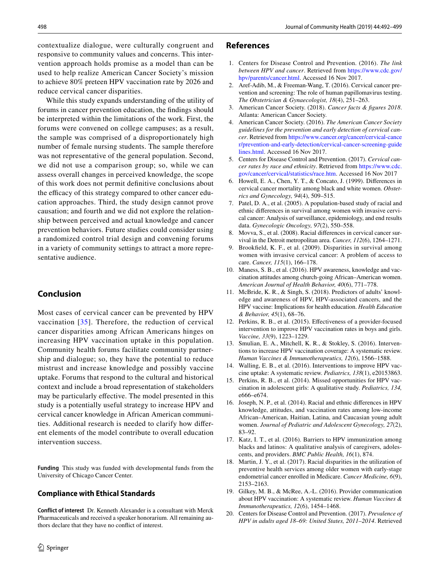contextualize dialogue, were culturally congruent and responsive to community values and concerns. This intervention approach holds promise as a model than can be used to help realize American Cancer Society's mission to achieve 80% preteen HPV vaccination rate by 2026 and reduce cervical cancer disparities.

While this study expands understanding of the utility of forums in cancer prevention education, the fndings should be interpreted within the limitations of the work. First, the forums were convened on college campuses; as a result, the sample was comprised of a disproportionately high number of female nursing students. The sample therefore was not representative of the general population. Second, we did not use a comparison group; so, while we can assess overall changes in perceived knowledge, the scope of this work does not permit defnitive conclusions about the efficacy of this strategy compared to other cancer education approaches. Third, the study design cannot prove causation; and fourth and we did not explore the relationship between perceived and actual knowledge and cancer prevention behaviors. Future studies could consider using a randomized control trial design and convening forums in a variety of community settings to attract a more representative audience.

# **Conclusion**

Most cases of cervical cancer can be prevented by HPV vaccination  $[35]$  $[35]$ . Therefore, the reduction of cervical cancer disparities among African Americans hinges on increasing HPV vaccination uptake in this population. Community health forums facilitate community partnership and dialogue; so, they have the potential to reduce mistrust and increase knowledge and possibly vaccine uptake. Forums that respond to the cultural and historical context and include a broad representation of stakeholders may be particularly efective. The model presented in this study is a potentially useful strategy to increase HPV and cervical cancer knowledge in African American communities. Additional research is needed to clarify how diferent elements of the model contribute to overall education intervention success.

**Funding** This study was funded with developmental funds from the University of Chicago Cancer Center.

#### **Compliance with Ethical Standards**

**Conflict of interest** Dr. Kenneth Alexander is a consultant with Merck Pharmaceuticals and received a speaker honorarium. All remaining authors declare that they have no confict of interest.

#### **References**

- <span id="page-6-0"></span>1. Centers for Disease Control and Prevention. (2016). *The link between HPV and cancer*. Retrieved from [https://www.cdc.gov/](https://www.cdc.gov/hpv/parents/cancer.html) [hpv/parents/cancer.html.](https://www.cdc.gov/hpv/parents/cancer.html) Accessed 16 Nov 2017.
- <span id="page-6-1"></span>2. Aref-Adib, M., & Freeman-Wang, T. (2016). Cervical cancer prevention and screening: The role of human papillomavirus testing. *The Obstetrician & Gynaecologist, 18*(4), 251–263.
- <span id="page-6-2"></span>3. American Cancer Society. (2018). *Cancer facts & fgures 2018*. Atlanta: American Cancer Society.
- <span id="page-6-3"></span>4. American Cancer Society. (2016). *The American Cancer Society guidelines for the prevention and early detection of cervical cancer*. Retrieved from [https://www.cancer.org/cancer/cervical-cance](https://www.cancer.org/cancer/cervical-cancer/prevention-and-early-detection/cervical-cancer-screening-guidelines.html) [r/prevention-and-early-detection/cervical-cancer-screening-guide](https://www.cancer.org/cancer/cervical-cancer/prevention-and-early-detection/cervical-cancer-screening-guidelines.html) [lines.html](https://www.cancer.org/cancer/cervical-cancer/prevention-and-early-detection/cervical-cancer-screening-guidelines.html). Accessed 16 Nov 2017.
- <span id="page-6-4"></span>5. Centers for Disease Control and Prevention. (2017). *Cervical cancer rates by race and ethnicity*. Retrieved from [https://www.cdc.](https://www.cdc.gov/cancer/cervical/statistics/race.htm) [gov/cancer/cervical/statistics/race.htm.](https://www.cdc.gov/cancer/cervical/statistics/race.htm) Accessed 16 Nov 2017
- <span id="page-6-5"></span>6. Howell, E. A., Chen, Y. T., & Concato, J. (1999). Diferences in cervical cancer mortality among black and white women. *Obstetrics and Gynecology, 94*(4), 509–515.
- <span id="page-6-6"></span>7. Patel, D. A., et al. (2005). A population-based study of racial and ethnic diferences in survival among women with invasive cervical cancer: Analysis of surveillance, epidemiology, and end results data. *Gynecologic Oncology, 97*(2), 550–558.
- <span id="page-6-7"></span>Movva, S., et al. (2008). Racial differences in cervical cancer survival in the Detroit metropolitan area. *Cancer, 112*(6), 1264–1271.
- <span id="page-6-8"></span>9. Brookfeld, K. F., et al. (2009). Disparities in survival among women with invasive cervical cancer: A problem of access to care. *Cancer, 115*(1), 166–178.
- <span id="page-6-9"></span>10. Maness, S. B., et al. (2016). HPV awareness, knowledge and vaccination attitudes among church-going African–American women. *American Journal of Health Behavior, 40*(6), 771–778.
- <span id="page-6-10"></span>11. McBride, K. R., & Singh, S. (2018). Predictors of adults' knowledge and awareness of HPV, HPV-associated cancers, and the HPV vaccine: Implications for health education. *Health Education & Behavior, 45*(1), 68–76.
- <span id="page-6-11"></span>12. Perkins, R. B., et al. (2015). Efectiveness of a provider-focused intervention to improve HPV vaccination rates in boys and girls. *Vaccine, 33*(9), 1223–1229.
- <span id="page-6-19"></span>13. Smulian, E. A., Mitchell, K. R., & Stokley, S. (2016). Interventions to increase HPV vaccination coverage: A systematic review. *Human Vaccines & Immunotherapeutics, 12*(6), 1566–1588.
- <span id="page-6-12"></span>14. Walling, E. B., et al. (2016). Interventions to improve HPV vaccine uptake: A systematic review. *Pediatrics, 138*(1), e20153863.
- <span id="page-6-13"></span>15. Perkins, R. B., et al. (2014). Missed opportunities for HPV vaccination in adolescent girls: A qualitative study. *Pediatrics, 134,* e666–e674.
- <span id="page-6-14"></span>16. Joseph, N. P., et al. (2014). Racial and ethnic diferences in HPV knowledge, attitudes, and vaccination rates among low-income African–American, Haitian, Latina, and Caucasian young adult women. *Journal of Pediatric and Adolescent Gynecology, 27*(2), 83–92.
- <span id="page-6-15"></span>17. Katz, I. T., et al. (2016). Barriers to HPV immunization among blacks and latinos: A qualitative analysis of caregivers, adolescents, and providers. *BMC Public Health, 16*(1), 874.
- <span id="page-6-16"></span>18. Martin, J. Y., et al. (2017). Racial disparities in the utilization of preventive health services among older women with early-stage endometrial cancer enrolled in Medicare. *Cancer Medicine, 6*(9), 2153–2163.
- <span id="page-6-17"></span>19. Gilkey, M. B., & McRee, A.-L. (2016). Provider communication about HPV vaccination: A systematic review. *Human Vaccines & Immunotherapeutics, 12*(6), 1454–1468.
- <span id="page-6-18"></span>20. Centers for Disease Control and Prevention. (2017). *Prevalence of HPV in adults aged 18*–*69: United States, 2011*–*2014*. Retrieved